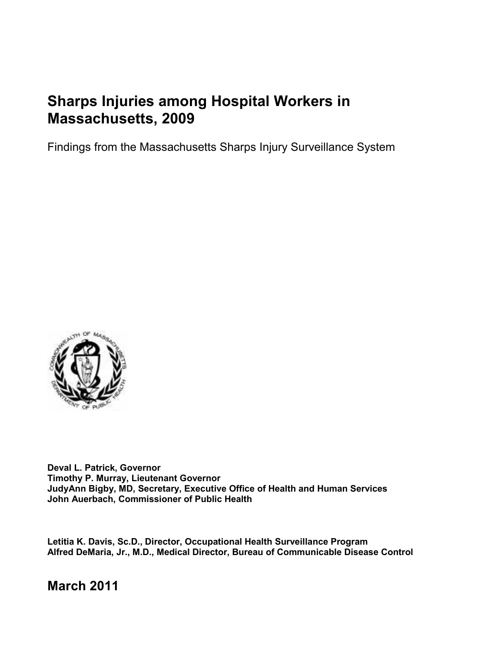# **Sharps Injuries among Hospital Workers in Massachusetts, 2009**

Findings from the Massachusetts Sharps Injury Surveillance System



**Deval L. Patrick, Governor Timothy P. Murray, Lieutenant Governor JudyAnn Bigby, MD, Secretary, Executive Office of Health and Human Services John Auerbach, Commissioner of Public Health** 

**Letitia K. Davis, Sc.D., Director, Occupational Health Surveillance Program Alfred DeMaria, Jr., M.D., Medical Director, Bureau of Communicable Disease Control** 

**March 2011**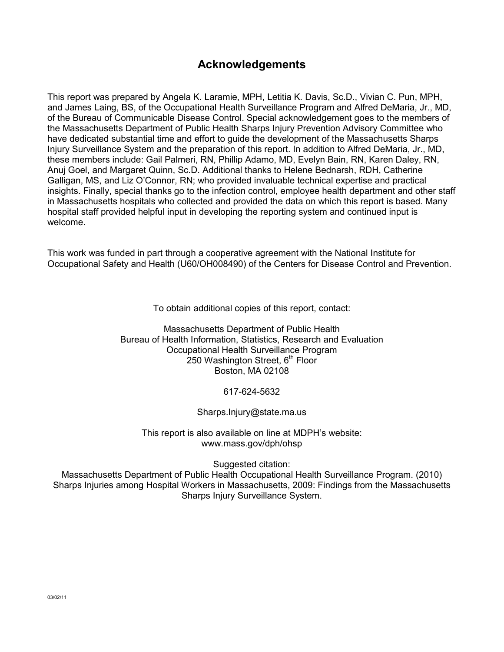# **Acknowledgements**

This report was prepared by Angela K. Laramie, MPH, Letitia K. Davis, Sc.D., Vivian C. Pun, MPH, and James Laing, BS, of the Occupational Health Surveillance Program and Alfred DeMaria, Jr., MD, of the Bureau of Communicable Disease Control. Special acknowledgement goes to the members of the Massachusetts Department of Public Health Sharps Injury Prevention Advisory Committee who have dedicated substantial time and effort to guide the development of the Massachusetts Sharps Injury Surveillance System and the preparation of this report. In addition to Alfred DeMaria, Jr., MD, these members include: Gail Palmeri, RN, Phillip Adamo, MD, Evelyn Bain, RN, Karen Daley, RN, Anuj Goel, and Margaret Quinn, Sc.D. Additional thanks to Helene Bednarsh, RDH, Catherine Galligan, MS, and Liz O'Connor, RN; who provided invaluable technical expertise and practical insights. Finally, special thanks go to the infection control, employee health department and other staff in Massachusetts hospitals who collected and provided the data on which this report is based. Many hospital staff provided helpful input in developing the reporting system and continued input is welcome.

This work was funded in part through a cooperative agreement with the National Institute for Occupational Safety and Health (U60/OH008490) of the Centers for Disease Control and Prevention.

To obtain additional copies of this report, contact:

Massachusetts Department of Public Health Bureau of Health Information, Statistics, Research and Evaluation Occupational Health Surveillance Program 250 Washington Street,  $6<sup>th</sup>$  Floor Boston, MA 02108

617-624-5632

Sharps.Injury@state.ma.us

This report is also available on line at MDPH's website: www.mass.gov/dph/ohsp

Suggested citation:

Massachusetts Department of Public Health Occupational Health Surveillance Program. (2010) Sharps Injuries among Hospital Workers in Massachusetts, 2009: Findings from the Massachusetts Sharps Injury Surveillance System.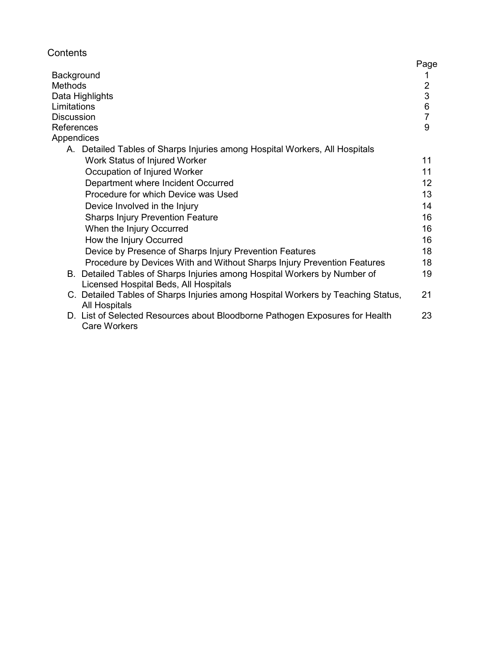| Contents |  |
|----------|--|
|----------|--|

|                                                                                                                    | Page                                            |
|--------------------------------------------------------------------------------------------------------------------|-------------------------------------------------|
| Background                                                                                                         |                                                 |
| Methods                                                                                                            |                                                 |
| Data Highlights                                                                                                    |                                                 |
| Limitations                                                                                                        | $\begin{array}{c} 2 \\ 3 \\ 6 \\ 7 \end{array}$ |
| <b>Discussion</b>                                                                                                  |                                                 |
| References                                                                                                         | 9                                               |
| <b>Appendices</b>                                                                                                  |                                                 |
| A. Detailed Tables of Sharps Injuries among Hospital Workers, All Hospitals                                        |                                                 |
| Work Status of Injured Worker                                                                                      | 11                                              |
| Occupation of Injured Worker                                                                                       | 11                                              |
| Department where Incident Occurred                                                                                 | 12                                              |
| Procedure for which Device was Used                                                                                | 13                                              |
| Device Involved in the Injury                                                                                      | 14                                              |
| <b>Sharps Injury Prevention Feature</b>                                                                            | 16                                              |
| When the Injury Occurred                                                                                           | 16                                              |
| How the Injury Occurred                                                                                            | 16                                              |
| Device by Presence of Sharps Injury Prevention Features                                                            | 18                                              |
| Procedure by Devices With and Without Sharps Injury Prevention Features                                            | 18                                              |
| B. Detailed Tables of Sharps Injuries among Hospital Workers by Number of<br>Licensed Hospital Beds, All Hospitals | 19                                              |
| C. Detailed Tables of Sharps Injuries among Hospital Workers by Teaching Status,<br><b>All Hospitals</b>           | 21                                              |
| D. List of Selected Resources about Bloodborne Pathogen Exposures for Health<br><b>Care Workers</b>                | 23                                              |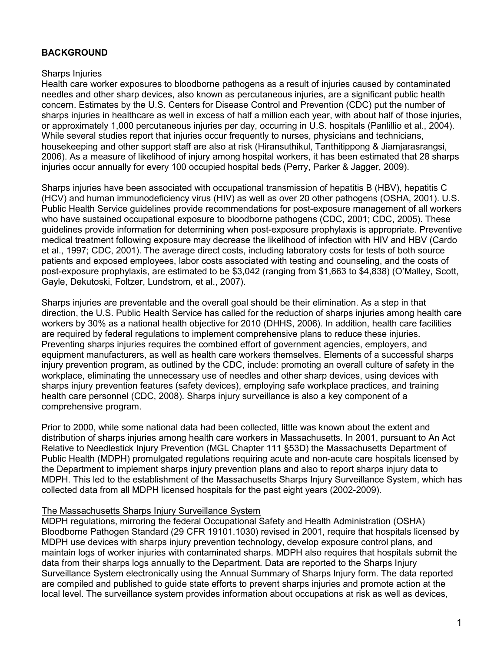### **BACKGROUND**

#### Sharps Injuries

Health care worker exposures to bloodborne pathogens as a result of injuries caused by contaminated needles and other sharp devices, also known as percutaneous injuries, are a significant public health concern. Estimates by the U.S. Centers for Disease Control and Prevention (CDC) put the number of sharps injuries in healthcare as well in excess of half a million each year, with about half of those injuries, or approximately 1,000 percutaneous injuries per day, occurring in U.S. hospitals (Panlillio et al., 2004). While several studies report that injuries occur frequently to nurses, physicians and technicians, housekeeping and other support staff are also at risk (Hiransuthikul, Tanthitippong & Jiamjarasrangsi, 2006). As a measure of likelihood of injury among hospital workers, it has been estimated that 28 sharps injuries occur annually for every 100 occupied hospital beds (Perry, Parker & Jagger, 2009).

Sharps injuries have been associated with occupational transmission of hepatitis B (HBV), hepatitis C (HCV) and human immunodeficiency virus (HIV) as well as over 20 other pathogens (OSHA, 2001). U.S. Public Health Service guidelines provide recommendations for post-exposure management of all workers who have sustained occupational exposure to bloodborne pathogens (CDC, 2001; CDC, 2005). These guidelines provide information for determining when post-exposure prophylaxis is appropriate. Preventive medical treatment following exposure may decrease the likelihood of infection with HIV and HBV (Cardo et al., 1997; CDC, 2001). The average direct costs, including laboratory costs for tests of both source patients and exposed employees, labor costs associated with testing and counseling, and the costs of post-exposure prophylaxis, are estimated to be \$3,042 (ranging from \$1,663 to \$4,838) (O'Malley, Scott, Gayle, Dekutoski, Foltzer, Lundstrom, et al., 2007).

Sharps injuries are preventable and the overall goal should be their elimination. As a step in that direction, the U.S. Public Health Service has called for the reduction of sharps injuries among health care workers by 30% as a national health objective for 2010 (DHHS, 2006). In addition, health care facilities are required by federal regulations to implement comprehensive plans to reduce these injuries. Preventing sharps injuries requires the combined effort of government agencies, employers, and equipment manufacturers, as well as health care workers themselves. Elements of a successful sharps injury prevention program, as outlined by the CDC, include: promoting an overall culture of safety in the workplace, eliminating the unnecessary use of needles and other sharp devices, using devices with sharps injury prevention features (safety devices), employing safe workplace practices, and training health care personnel (CDC, 2008). Sharps injury surveillance is also a key component of a comprehensive program.

Prior to 2000, while some national data had been collected, little was known about the extent and distribution of sharps injuries among health care workers in Massachusetts. In 2001, pursuant to An Act Relative to Needlestick Injury Prevention (MGL Chapter 111 §53D) the Massachusetts Department of Public Health (MDPH) promulgated regulations requiring acute and non-acute care hospitals licensed by the Department to implement sharps injury prevention plans and also to report sharps injury data to MDPH. This led to the establishment of the Massachusetts Sharps Injury Surveillance System, which has collected data from all MDPH licensed hospitals for the past eight years (2002-2009).

#### The Massachusetts Sharps Injury Surveillance System

MDPH regulations, mirroring the federal Occupational Safety and Health Administration (OSHA) Bloodborne Pathogen Standard (29 CFR 19101.1030) revised in 2001, require that hospitals licensed by MDPH use devices with sharps injury prevention technology, develop exposure control plans, and maintain logs of worker injuries with contaminated sharps. MDPH also requires that hospitals submit the data from their sharps logs annually to the Department. Data are reported to the Sharps Injury Surveillance System electronically using the Annual Summary of Sharps Injury form. The data reported are compiled and published to guide state efforts to prevent sharps injuries and promote action at the local level. The surveillance system provides information about occupations at risk as well as devices,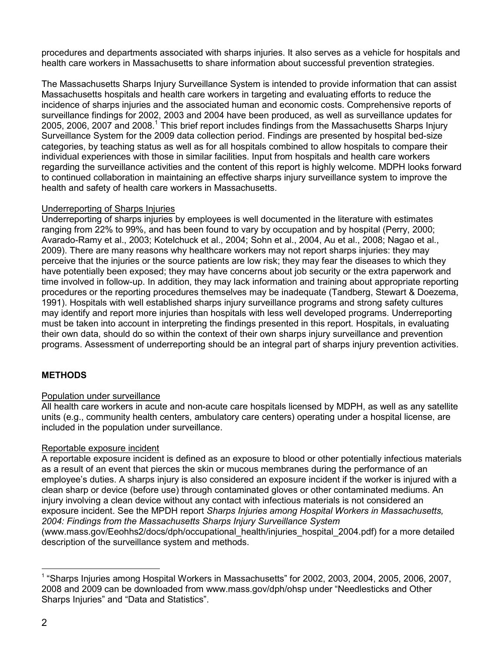procedures and departments associated with sharps injuries. It also serves as a vehicle for hospitals and health care workers in Massachusetts to share information about successful prevention strategies.

The Massachusetts Sharps Injury Surveillance System is intended to provide information that can assist Massachusetts hospitals and health care workers in targeting and evaluating efforts to reduce the incidence of sharps injuries and the associated human and economic costs. Comprehensive reports of surveillance findings for 2002, 2003 and 2004 have been produced, as well as surveillance updates for 2005, 2006, 2007 and 2008.<sup>1</sup> This brief report includes findings from the Massachusetts Sharps Injury Surveillance System for the 2009 data collection period. Findings are presented by hospital bed-size categories, by teaching status as well as for all hospitals combined to allow hospitals to compare their individual experiences with those in similar facilities. Input from hospitals and health care workers regarding the surveillance activities and the content of this report is highly welcome. MDPH looks forward to continued collaboration in maintaining an effective sharps injury surveillance system to improve the health and safety of health care workers in Massachusetts.

#### Underreporting of Sharps Injuries

Underreporting of sharps injuries by employees is well documented in the literature with estimates ranging from 22% to 99%, and has been found to vary by occupation and by hospital (Perry, 2000; Avarado-Ramy et al., 2003; Kotelchuck et al., 2004; Sohn et al., 2004, Au et al., 2008; Nagao et al., 2009). There are many reasons why healthcare workers may not report sharps injuries: they may perceive that the injuries or the source patients are low risk; they may fear the diseases to which they have potentially been exposed; they may have concerns about job security or the extra paperwork and time involved in follow-up. In addition, they may lack information and training about appropriate reporting procedures or the reporting procedures themselves may be inadequate (Tandberg, Stewart & Doezema, 1991). Hospitals with well established sharps injury surveillance programs and strong safety cultures may identify and report more injuries than hospitals with less well developed programs. Underreporting must be taken into account in interpreting the findings presented in this report. Hospitals, in evaluating their own data, should do so within the context of their own sharps injury surveillance and prevention programs. Assessment of underreporting should be an integral part of sharps injury prevention activities.

### **METHODS**

### Population under surveillance

All health care workers in acute and non-acute care hospitals licensed by MDPH, as well as any satellite units (e.g., community health centers, ambulatory care centers) operating under a hospital license, are included in the population under surveillance.

### Reportable exposure incident

A reportable exposure incident is defined as an exposure to blood or other potentially infectious materials as a result of an event that pierces the skin or mucous membranes during the performance of an employee's duties. A sharps injury is also considered an exposure incident if the worker is injured with a clean sharp or device (before use) through contaminated gloves or other contaminated mediums. An injury involving a clean device without any contact with infectious materials is not considered an exposure incident. See the MPDH report *Sharps Injuries among Hospital Workers in Massachusetts, 2004: Findings from the Massachusetts Sharps Injury Surveillance System*  (www.mass.gov/Eeohhs2/docs/dph/occupational\_health/injuries\_hospital\_2004.pdf) for a more detailed description of the surveillance system and methods.

 $\overline{a}$ <sup>1</sup> "Sharps Injuries among Hospital Workers in Massachusetts" for 2002, 2003, 2004, 2005, 2006, 2007, 2008 and 2009 can be downloaded from www.mass.gov/dph/ohsp under "Needlesticks and Other Sharps Injuries" and "Data and Statistics".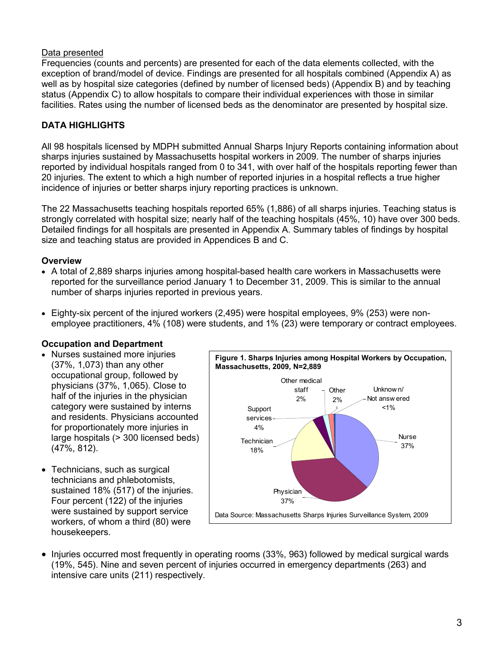### Data presented

Frequencies (counts and percents) are presented for each of the data elements collected, with the exception of brand/model of device. Findings are presented for all hospitals combined (Appendix A) as well as by hospital size categories (defined by number of licensed beds) (Appendix B) and by teaching status (Appendix C) to allow hospitals to compare their individual experiences with those in similar facilities. Rates using the number of licensed beds as the denominator are presented by hospital size.

### **DATA HIGHLIGHTS**

All 98 hospitals licensed by MDPH submitted Annual Sharps Injury Reports containing information about sharps injuries sustained by Massachusetts hospital workers in 2009. The number of sharps injuries reported by individual hospitals ranged from 0 to 341, with over half of the hospitals reporting fewer than 20 injuries. The extent to which a high number of reported injuries in a hospital reflects a true higher incidence of injuries or better sharps injury reporting practices is unknown.

The 22 Massachusetts teaching hospitals reported 65% (1,886) of all sharps injuries. Teaching status is strongly correlated with hospital size; nearly half of the teaching hospitals (45%, 10) have over 300 beds. Detailed findings for all hospitals are presented in Appendix A. Summary tables of findings by hospital size and teaching status are provided in Appendices B and C.

#### **Overview**

- A total of 2,889 sharps injuries among hospital-based health care workers in Massachusetts were reported for the surveillance period January 1 to December 31, 2009. This is similar to the annual number of sharps injuries reported in previous years.
- Eighty-six percent of the injured workers (2,495) were hospital employees, 9% (253) were nonemployee practitioners, 4% (108) were students, and 1% (23) were temporary or contract employees.

#### **Occupation and Department**

- Nurses sustained more injuries (37%, 1,073) than any other occupational group, followed by physicians (37%, 1,065). Close to half of the injuries in the physician category were sustained by interns and residents. Physicians accounted for proportionately more injuries in large hospitals (> 300 licensed beds) (47%, 812).
- Technicians, such as surgical technicians and phlebotomists, sustained 18% (517) of the injuries. Four percent (122) of the injuries were sustained by support service workers, of whom a third (80) were housekeepers.



• Injuries occurred most frequently in operating rooms (33%, 963) followed by medical surgical wards (19%, 545). Nine and seven percent of injuries occurred in emergency departments (263) and intensive care units (211) respectively.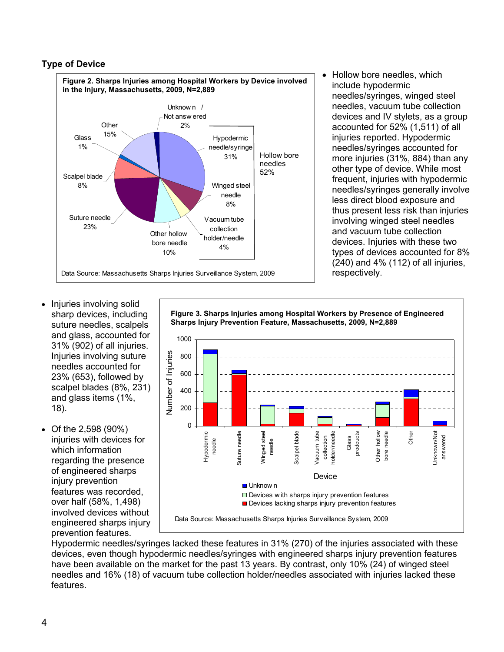### **Type of Device**



• Hollow bore needles, which include hypodermic needles/syringes, winged steel needles, vacuum tube collection devices and IV stylets, as a group accounted for 52% (1,511) of all injuries reported. Hypodermic needles/syringes accounted for more injuries (31%, 884) than any other type of device. While most frequent, injuries with hypodermic needles/syringes generally involve less direct blood exposure and thus present less risk than injuries involving winged steel needles and vacuum tube collection devices. Injuries with these two types of devices accounted for 8% (240) and 4% (112) of all injuries, respectively.

- Injuries involving solid sharp devices, including suture needles, scalpels and glass, accounted for 31% (902) of all injuries. Injuries involving suture needles accounted for 23% (653), followed by scalpel blades (8%, 231) and glass items (1%, 18).
- Of the 2,598 (90%) injuries with devices for which information regarding the presence of engineered sharps injury prevention features was recorded, over half (58%, 1,498) involved devices without engineered sharps injury prevention features.

**Figure 3. Sharps Injuries among Hospital Workers by Presence of Engineered Sharps Injury Prevention Feature, Massachusetts, 2009, N=2,889**



Hypodermic needles/syringes lacked these features in 31% (270) of the injuries associated with these devices, even though hypodermic needles/syringes with engineered sharps injury prevention features have been available on the market for the past 13 years. By contrast, only 10% (24) of winged steel needles and 16% (18) of vacuum tube collection holder/needles associated with injuries lacked these features.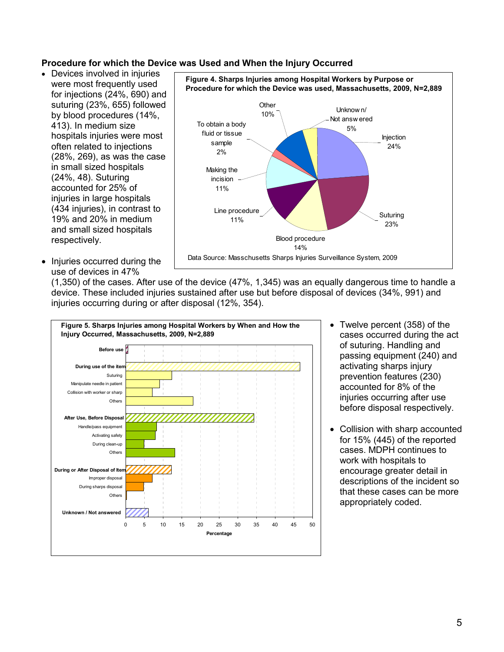#### **Procedure for which the Device was Used and When the Injury Occurred**

- Devices involved in injuries were most frequently used for injections (24%, 690) and suturing (23%, 655) followed by blood procedures (14%, 413). In medium size hospitals injuries were most often related to injections (28%, 269), as was the case in small sized hospitals (24%, 48). Suturing accounted for 25% of injuries in large hospitals (434 injuries), in contrast to 19% and 20% in medium and small sized hospitals respectively.
- Injuries occurred during the use of devices in 47%



(1,350) of the cases. After use of the device (47%, 1,345) was an equally dangerous time to handle a device. These included injuries sustained after use but before disposal of devices (34%, 991) and injuries occurring during or after disposal (12%, 354).



- Twelve percent (358) of the cases occurred during the act of suturing. Handling and passing equipment (240) and activating sharps injury prevention features (230) accounted for 8% of the injuries occurring after use before disposal respectively.
- Collision with sharp accounted for 15% (445) of the reported cases. MDPH continues to work with hospitals to encourage greater detail in descriptions of the incident so that these cases can be more appropriately coded.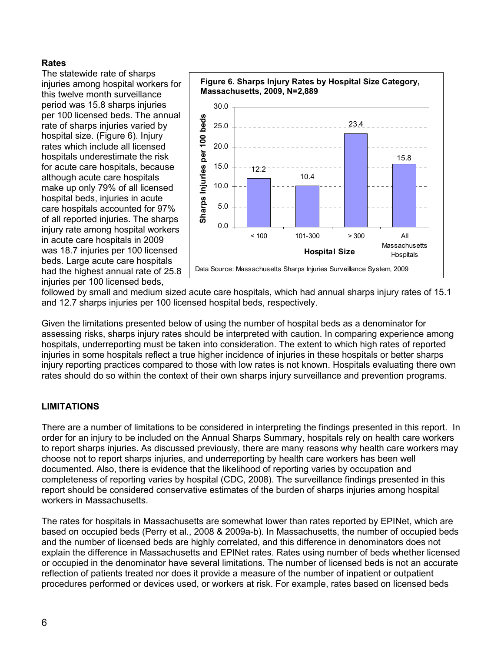### **Rates**

The statewide rate of sharps injuries among hospital workers for this twelve month surveillance period was 15.8 sharps injuries per 100 licensed beds. The annual rate of sharps injuries varied by hospital size. (Figure 6). Injury rates which include all licensed hospitals underestimate the risk for acute care hospitals, because although acute care hospitals make up only 79% of all licensed hospital beds, injuries in acute care hospitals accounted for 97% of all reported injuries. The sharps injury rate among hospital workers in acute care hospitals in 2009 was 18.7 injuries per 100 licensed beds. Large acute care hospitals had the highest annual rate of 25.8 injuries per 100 licensed beds,



followed by small and medium sized acute care hospitals, which had annual sharps injury rates of 15.1 and 12.7 sharps injuries per 100 licensed hospital beds, respectively.

Given the limitations presented below of using the number of hospital beds as a denominator for assessing risks, sharps injury rates should be interpreted with caution. In comparing experience among hospitals, underreporting must be taken into consideration. The extent to which high rates of reported injuries in some hospitals reflect a true higher incidence of injuries in these hospitals or better sharps injury reporting practices compared to those with low rates is not known. Hospitals evaluating there own rates should do so within the context of their own sharps injury surveillance and prevention programs.

### **LIMITATIONS**

There are a number of limitations to be considered in interpreting the findings presented in this report. In order for an injury to be included on the Annual Sharps Summary, hospitals rely on health care workers to report sharps injuries. As discussed previously, there are many reasons why health care workers may choose not to report sharps injuries, and underreporting by health care workers has been well documented. Also, there is evidence that the likelihood of reporting varies by occupation and completeness of reporting varies by hospital (CDC, 2008). The surveillance findings presented in this report should be considered conservative estimates of the burden of sharps injuries among hospital workers in Massachusetts.

The rates for hospitals in Massachusetts are somewhat lower than rates reported by EPINet, which are based on occupied beds (Perry et al., 2008 & 2009a-b). In Massachusetts, the number of occupied beds and the number of licensed beds are highly correlated, and this difference in denominators does not explain the difference in Massachusetts and EPINet rates. Rates using number of beds whether licensed or occupied in the denominator have several limitations. The number of licensed beds is not an accurate reflection of patients treated nor does it provide a measure of the number of inpatient or outpatient procedures performed or devices used, or workers at risk. For example, rates based on licensed beds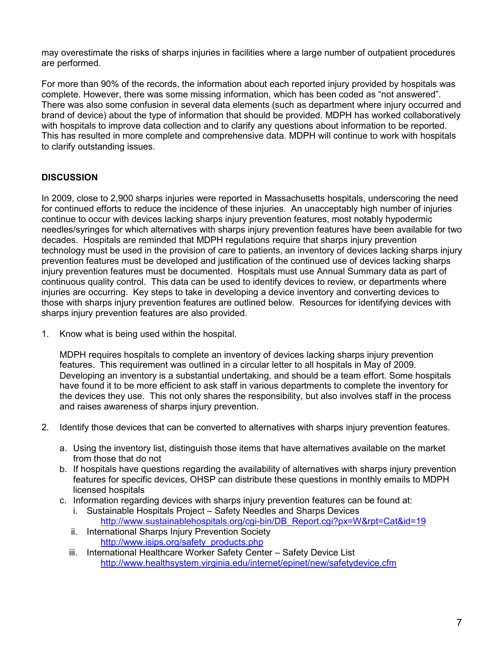may overestimate the risks of sharps injuries in facilities where a large number of outpatient procedures are performed.

For more than 90% of the records, the information about each reported injury provided by hospitals was complete. However, there was some missing information, which has been coded as "not answered". There was also some confusion in several data elements (such as department where injury occurred and brand of device) about the type of information that should be provided. MDPH has worked collaboratively with hospitals to improve data collection and to clarify any questions about information to be reported. This has resulted in more complete and comprehensive data. MDPH will continue to work with hospitals to clarify outstanding issues.

### **DISCUSSION**

In 2009, close to 2,900 sharps injuries were reported in Massachusetts hospitals, underscoring the need for continued efforts to reduce the incidence of these injuries. An unacceptably high number of injuries continue to occur with devices lacking sharps injury prevention features, most notably hypodermic needles/syringes for which alternatives with sharps injury prevention features have been available for two decades. Hospitals are reminded that MDPH regulations require that sharps injury prevention technology must be used in the provision of care to patients, an inventory of devices lacking sharps injury prevention features must be developed and justification of the continued use of devices lacking sharps injury prevention features must be documented. Hospitals must use Annual Summary data as part of continuous quality control. This data can be used to identify devices to review, or departments where injuries are occurring. Key steps to take in developing a device inventory and converting devices to those with sharps injury prevention features are outlined below. Resources for identifying devices with sharps injury prevention features are also provided.

1. Know what is being used within the hospital.

MDPH requires hospitals to complete an inventory of devices lacking sharps injury prevention features. This requirement was outlined in a circular letter to all hospitals in May of 2009. Developing an inventory is a substantial undertaking, and should be a team effort. Some hospitals have found it to be more efficient to ask staff in various departments to complete the inventory for the devices they use. This not only shares the responsibility, but also involves staff in the process and raises awareness of sharps injury prevention.

- 2. Identify those devices that can be converted to alternatives with sharps injury prevention features.
	- a. Using the inventory list, distinguish those items that have alternatives available on the market from those that do not
	- b. If hospitals have questions regarding the availability of alternatives with sharps injury prevention features for specific devices, OHSP can distribute these questions in monthly emails to MDPH licensed hospitals
	- c. Information regarding devices with sharps injury prevention features can be found at:
		- Sustainable Hospitals Project Safety Needles and Sharps Devices http://www.sustainablehospitals.org/cgi-bin/DB\_Report.cgi?px=W&rpt=Cat&id=19
		- ii. International Sharps Injury Prevention Society http://www.isips.org/safety\_products.php
		- iii. International Healthcare Worker Safety Center Safety Device List http://www.healthsystem.virginia.edu/internet/epinet/new/safetydevice.cfm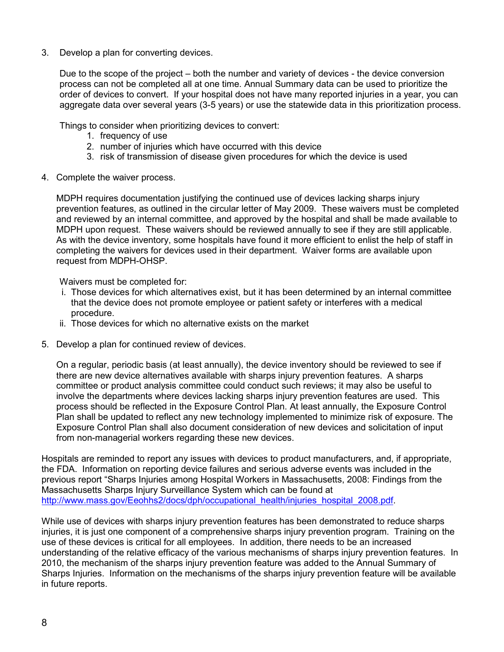3. Develop a plan for converting devices.

Due to the scope of the project – both the number and variety of devices - the device conversion process can not be completed all at one time. Annual Summary data can be used to prioritize the order of devices to convert. If your hospital does not have many reported injuries in a year, you can aggregate data over several years (3-5 years) or use the statewide data in this prioritization process.

Things to consider when prioritizing devices to convert:

- 1. frequency of use
- 2. number of injuries which have occurred with this device
- 3. risk of transmission of disease given procedures for which the device is used
- 4. Complete the waiver process.

MDPH requires documentation justifying the continued use of devices lacking sharps injury prevention features, as outlined in the circular letter of May 2009. These waivers must be completed and reviewed by an internal committee, and approved by the hospital and shall be made available to MDPH upon request. These waivers should be reviewed annually to see if they are still applicable. As with the device inventory, some hospitals have found it more efficient to enlist the help of staff in completing the waivers for devices used in their department. Waiver forms are available upon request from MDPH-OHSP.

Waivers must be completed for:

- i. Those devices for which alternatives exist, but it has been determined by an internal committee that the device does not promote employee or patient safety or interferes with a medical procedure.
- ii. Those devices for which no alternative exists on the market
- 5. Develop a plan for continued review of devices.

On a regular, periodic basis (at least annually), the device inventory should be reviewed to see if there are new device alternatives available with sharps injury prevention features. A sharps committee or product analysis committee could conduct such reviews; it may also be useful to involve the departments where devices lacking sharps injury prevention features are used. This process should be reflected in the Exposure Control Plan. At least annually, the Exposure Control Plan shall be updated to reflect any new technology implemented to minimize risk of exposure. The Exposure Control Plan shall also document consideration of new devices and solicitation of input from non-managerial workers regarding these new devices.

Hospitals are reminded to report any issues with devices to product manufacturers, and, if appropriate, the FDA. Information on reporting device failures and serious adverse events was included in the previous report "Sharps Injuries among Hospital Workers in Massachusetts, 2008: Findings from the Massachusetts Sharps Injury Surveillance System which can be found at http://www.mass.gov/Eeohhs2/docs/dph/occupational\_health/injuries\_hospital\_2008.pdf.

While use of devices with sharps injury prevention features has been demonstrated to reduce sharps injuries, it is just one component of a comprehensive sharps injury prevention program. Training on the use of these devices is critical for all employees. In addition, there needs to be an increased understanding of the relative efficacy of the various mechanisms of sharps injury prevention features. In 2010, the mechanism of the sharps injury prevention feature was added to the Annual Summary of Sharps Injuries. Information on the mechanisms of the sharps injury prevention feature will be available in future reports.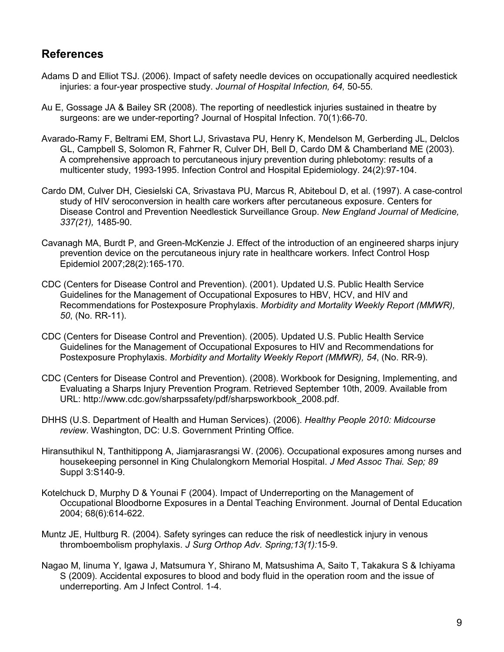# **References**

- Adams D and Elliot TSJ. (2006). Impact of safety needle devices on occupationally acquired needlestick injuries: a four-year prospective study. *Journal of Hospital Infection, 64,* 50-55*.*
- Au E, Gossage JA & Bailey SR (2008). The reporting of needlestick injuries sustained in theatre by surgeons: are we under-reporting? Journal of Hospital Infection. 70(1):66-70.
- Avarado-Ramy F, Beltrami EM, Short LJ, Srivastava PU, Henry K, Mendelson M, Gerberding JL, Delclos GL, Campbell S, Solomon R, Fahrner R, Culver DH, Bell D, Cardo DM & Chamberland ME (2003). A comprehensive approach to percutaneous injury prevention during phlebotomy: results of a multicenter study, 1993-1995. Infection Control and Hospital Epidemiology. 24(2):97-104.
- Cardo DM, Culver DH, Ciesielski CA, Srivastava PU, Marcus R, Abiteboul D, et al. (1997). A case-control study of HIV seroconversion in health care workers after percutaneous exposure. Centers for Disease Control and Prevention Needlestick Surveillance Group. *New England Journal of Medicine, 337(21),* 1485-90.
- Cavanagh MA, Burdt P, and Green-McKenzie J. Effect of the introduction of an engineered sharps injury prevention device on the percutaneous injury rate in healthcare workers. Infect Control Hosp Epidemiol 2007;28(2):165-170.
- CDC (Centers for Disease Control and Prevention). (2001). Updated U.S. Public Health Service Guidelines for the Management of Occupational Exposures to HBV, HCV, and HIV and Recommendations for Postexposure Prophylaxis. *Morbidity and Mortality Weekly Report (MMWR), 50*, (No. RR-11).
- CDC (Centers for Disease Control and Prevention). (2005). Updated U.S. Public Health Service Guidelines for the Management of Occupational Exposures to HIV and Recommendations for Postexposure Prophylaxis. *Morbidity and Mortality Weekly Report (MMWR), 54*, (No. RR-9).
- CDC (Centers for Disease Control and Prevention). (2008). Workbook for Designing, Implementing, and Evaluating a Sharps Injury Prevention Program. Retrieved September 10th, 2009. Available from URL: http://www.cdc.gov/sharpssafety/pdf/sharpsworkbook\_2008.pdf.
- DHHS (U.S. Department of Health and Human Services). (2006). *Healthy People 2010: Midcourse review*. Washington, DC: U.S. Government Printing Office.
- Hiransuthikul N, Tanthitippong A, Jiamjarasrangsi W. (2006). Occupational exposures among nurses and housekeeping personnel in King Chulalongkorn Memorial Hospital. *J Med Assoc Thai. Sep; 89* Suppl 3:S140-9.
- Kotelchuck D, Murphy D & Younai F (2004). Impact of Underreporting on the Management of Occupational Bloodborne Exposures in a Dental Teaching Environment. Journal of Dental Education 2004; 68(6):614-622.
- Muntz JE, Hultburg R. (2004). Safety syringes can reduce the risk of needlestick injury in venous thromboembolism prophylaxis. *J Surg Orthop Adv. Spring;13(1):*15-9.
- Nagao M, Iinuma Y, Igawa J, Matsumura Y, Shirano M, Matsushima A, Saito T, Takakura S & Ichiyama S (2009). Accidental exposures to blood and body fluid in the operation room and the issue of underreporting. Am J Infect Control. 1-4.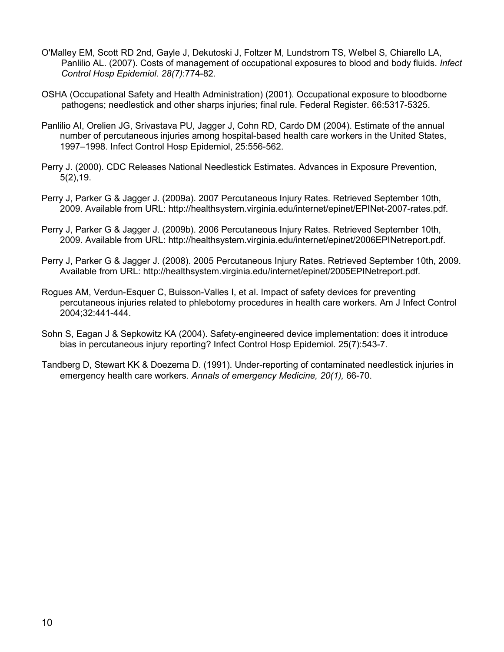- O'Malley EM, Scott RD 2nd, Gayle J, Dekutoski J, Foltzer M, Lundstrom TS, Welbel S, Chiarello LA, Panlilio AL. (2007). Costs of management of occupational exposures to blood and body fluids. *Infect Control Hosp Epidemiol*. *28(7)*:774-82.
- OSHA (Occupational Safety and Health Administration) (2001). Occupational exposure to bloodborne pathogens; needlestick and other sharps injuries; final rule. Federal Register. 66:5317-5325.
- Panlilio AI, Orelien JG, Srivastava PU, Jagger J, Cohn RD, Cardo DM (2004). Estimate of the annual number of percutaneous injuries among hospital-based health care workers in the United States, 1997–1998. Infect Control Hosp Epidemiol, 25:556-562.
- Perry J. (2000). CDC Releases National Needlestick Estimates. Advances in Exposure Prevention, 5(2),19.
- Perry J, Parker G & Jagger J. (2009a). 2007 Percutaneous Injury Rates. Retrieved September 10th, 2009. Available from URL: http://healthsystem.virginia.edu/internet/epinet/EPINet-2007-rates.pdf.
- Perry J, Parker G & Jagger J. (2009b). 2006 Percutaneous Injury Rates. Retrieved September 10th, 2009. Available from URL: http://healthsystem.virginia.edu/internet/epinet/2006EPINetreport.pdf.
- Perry J, Parker G & Jagger J. (2008). 2005 Percutaneous Injury Rates. Retrieved September 10th, 2009. Available from URL: http://healthsystem.virginia.edu/internet/epinet/2005EPINetreport.pdf.
- Rogues AM, Verdun-Esquer C, Buisson-Valles I, et al. Impact of safety devices for preventing percutaneous injuries related to phlebotomy procedures in health care workers. Am J Infect Control 2004;32:441-444.
- Sohn S, Eagan J & Sepkowitz KA (2004). Safety-engineered device implementation: does it introduce bias in percutaneous injury reporting? Infect Control Hosp Epidemiol. 25(7):543-7.
- Tandberg D, Stewart KK & Doezema D. (1991). Under-reporting of contaminated needlestick injuries in emergency health care workers. *Annals of emergency Medicine, 20(1),* 66-70.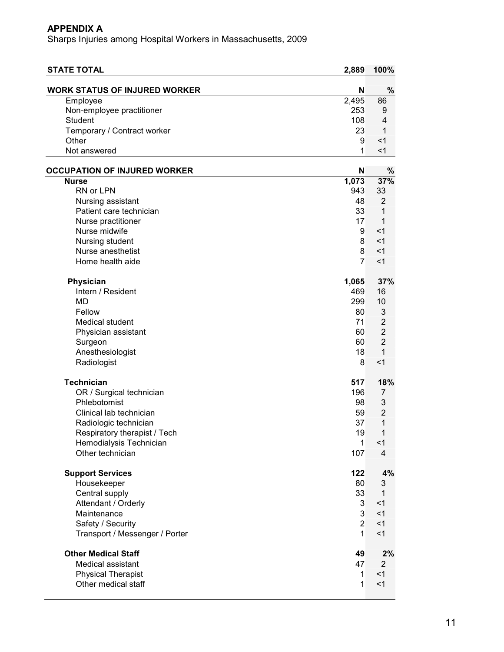| <b>STATE TOTAL</b>                   | 2,889          | 100%           |
|--------------------------------------|----------------|----------------|
| <b>WORK STATUS OF INJURED WORKER</b> | N              | %              |
| Employee                             | 2,495          | 86             |
| Non-employee practitioner            | 253            | 9              |
| <b>Student</b>                       | 108            | 4              |
| Temporary / Contract worker          | 23             | 1              |
| Other                                | 9              | $<$ 1          |
| Not answered                         | 1              | < 1            |
| <b>OCCUPATION OF INJURED WORKER</b>  | N              | $\%$           |
| <b>Nurse</b>                         | 1,073          | 37%            |
| RN or LPN                            | 943            | 33             |
| Nursing assistant                    | 48             | 2              |
| Patient care technician              | 33             | 1              |
| Nurse practitioner                   | 17             | 1              |
| Nurse midwife                        | 9              | $<$ 1          |
| Nursing student                      | 8              | $<$ 1          |
| Nurse anesthetist                    | 8              | $<$ 1          |
| Home health aide                     | $\overline{7}$ | $<$ 1          |
|                                      |                |                |
| Physician                            | 1,065          | 37%            |
| Intern / Resident                    | 469            | 16             |
| <b>MD</b>                            | 299            | 10             |
| Fellow                               | 80             | 3              |
| <b>Medical student</b>               | 71             | $\overline{2}$ |
| Physician assistant                  | 60             | $\overline{2}$ |
| Surgeon                              | 60             | $\overline{2}$ |
| Anesthesiologist                     | 18             | $\mathbf{1}$   |
| Radiologist                          | 8              | $<$ 1          |
| <b>Technician</b>                    | 517            | 18%            |
| OR / Surgical technician             | 196            | 7              |
| Phlebotomist                         | 98             | 3              |
| Clinical lab technician              | 59             | $\overline{2}$ |
| Radiologic technician                | 37             | 1              |
| Respiratory therapist / Tech         | 19             | $\mathbf{1}$   |
| Hemodialysis Technician              | $\mathbf{1}$   | <1             |
| Other technician                     | 107            | $\overline{4}$ |
| <b>Support Services</b>              | 122            | 4%             |
| Housekeeper                          | 80             | 3              |
| Central supply                       | 33             | 1              |
| Attendant / Orderly                  | 3              | < 1            |
| Maintenance                          | 3              | $<$ 1          |
| Safety / Security                    | $\overline{2}$ | < 1            |
| Transport / Messenger / Porter       | $\mathbf{1}$   | < 1            |
| <b>Other Medical Staff</b>           | 49             | 2%             |
| Medical assistant                    | 47             | $\overline{2}$ |
| <b>Physical Therapist</b>            | $\mathbf{1}$   | < 1            |
| Other medical staff                  | $\mathbf{1}$   | $<$ 1          |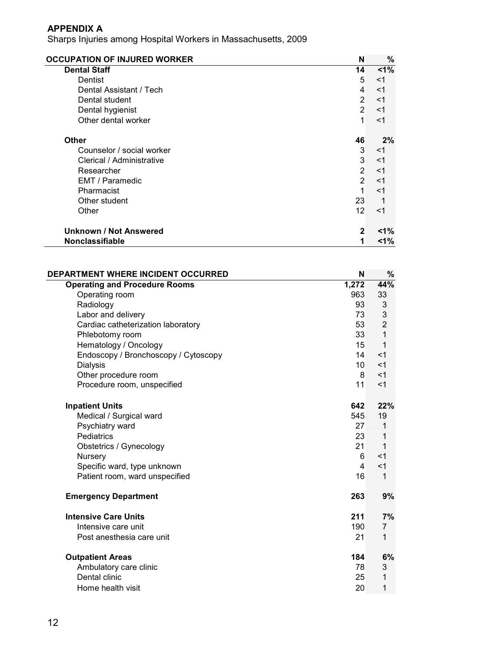| <b>OCCUPATION OF INJURED WORKER</b> | N              | $\%$   |
|-------------------------------------|----------------|--------|
| <b>Dental Staff</b>                 | 14             | 1%     |
| Dentist                             | 5              | $<$ 1  |
| Dental Assistant / Tech             | $\overline{4}$ | $<$ 1  |
| Dental student                      | $\overline{2}$ | $<$ 1  |
| Dental hygienist                    | $\overline{2}$ | $<$ 1  |
| Other dental worker                 | 1              | $<$ 1  |
| <b>Other</b>                        | 46             | 2%     |
| Counselor / social worker           | 3              | $<$ 1  |
| Clerical / Administrative           | 3              | $<$ 1  |
| Researcher                          | $\overline{2}$ | $<$ 1  |
| EMT / Paramedic                     | $\overline{2}$ | $<$ 1  |
| Pharmacist                          | 1              | $<$ 1  |
| Other student                       | 23             | 1      |
| Other                               | 12             | $<$ 1  |
| Unknown / Not Answered              | $\mathbf{2}$   | $<$ 1% |
| <b>Nonclassifiable</b>              | 1              | $1\%$  |

| DEPARTMENT WHERE INCIDENT OCCURRED   | N               | %              |
|--------------------------------------|-----------------|----------------|
| <b>Operating and Procedure Rooms</b> | 1,272           | 44%            |
| Operating room                       | 963             | 33             |
| Radiology                            | 93              | 3              |
| Labor and delivery                   | 73              | 3              |
| Cardiac catheterization laboratory   | 53              | $\overline{2}$ |
| Phlebotomy room                      | 33              | 1              |
| Hematology / Oncology                | 15              | 1              |
| Endoscopy / Bronchoscopy / Cytoscopy | 14              | $<$ 1          |
| <b>Dialysis</b>                      | 10 <sup>°</sup> | $<$ 1          |
| Other procedure room                 | 8               | $<$ 1          |
| Procedure room, unspecified          | 11              | $<$ 1          |
| <b>Inpatient Units</b>               | 642             | 22%            |
| Medical / Surgical ward              | 545             | 19             |
| Psychiatry ward                      | 27              | 1              |
| <b>Pediatrics</b>                    | 23              | 1              |
| Obstetrics / Gynecology              | 21              | 1              |
| Nursery                              | 6               | $<$ 1          |
| Specific ward, type unknown          | $\overline{4}$  | $<$ 1          |
| Patient room, ward unspecified       | 16              | $\mathbf 1$    |
| <b>Emergency Department</b>          | 263             | 9%             |
| <b>Intensive Care Units</b>          | 211             | 7%             |
| Intensive care unit                  | 190             | 7              |
| Post anesthesia care unit            | 21              | 1              |
| <b>Outpatient Areas</b>              | 184             | 6%             |
| Ambulatory care clinic               | 78              | 3              |
| Dental clinic                        | 25              | 1              |
| Home health visit                    | 20              | 1              |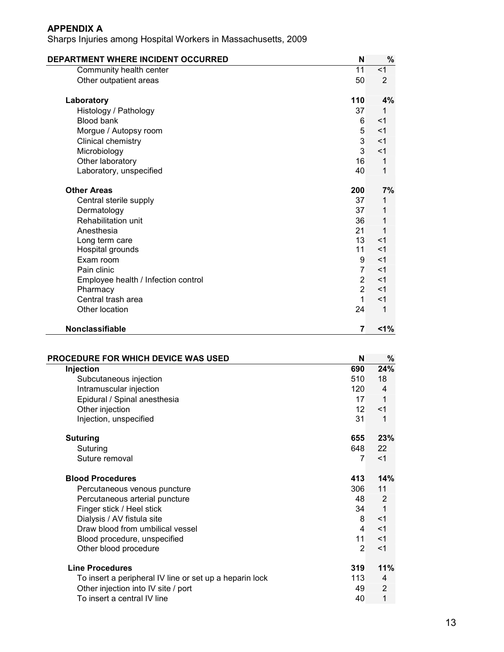| DEPARTMENT WHERE INCIDENT OCCURRED  | N              | %              |
|-------------------------------------|----------------|----------------|
| Community health center             | 11             | < 1            |
| Other outpatient areas              | 50             | $\overline{2}$ |
| Laboratory                          | 110            | 4%             |
| Histology / Pathology               | 37             | 1              |
| <b>Blood bank</b>                   | 6              | $<$ 1          |
| Morgue / Autopsy room               | 5              | $<$ 1          |
| Clinical chemistry                  | 3              | $<$ 1          |
| Microbiology                        | 3              | $<$ 1          |
| Other laboratory                    | 16             | $\mathbf{1}$   |
| Laboratory, unspecified             | 40             | 1              |
| <b>Other Areas</b>                  | 200            | 7%             |
| Central sterile supply              | 37             | 1              |
| Dermatology                         | 37             | 1              |
| Rehabilitation unit                 | 36             | 1              |
| Anesthesia                          | 21             | 1              |
| Long term care                      | 13             | $<$ 1          |
| Hospital grounds                    | 11             | $<$ 1          |
| Exam room                           | 9              | $<$ 1          |
| Pain clinic                         | $\overline{7}$ | $<$ 1          |
| Employee health / Infection control | $\overline{2}$ | $<$ 1          |
| Pharmacy                            | $\overline{2}$ | $<$ 1          |
| Central trash area                  | $\mathbf{1}$   | $<$ 1          |
| Other location                      | 24             | $\mathbf 1$    |
| Nonclassifiable                     | 7              | 1%             |

| <b>PROCEDURE FOR WHICH DEVICE WAS USED</b>              | N               | %     |
|---------------------------------------------------------|-----------------|-------|
| Injection                                               | 690             | 24%   |
| Subcutaneous injection                                  | 510             | 18    |
| Intramuscular injection                                 | 120             | 4     |
| Epidural / Spinal anesthesia                            | 17              | 1     |
| Other injection                                         | 12 <sup>°</sup> | $<$ 1 |
| Injection, unspecified                                  | 31              | 1     |
| <b>Suturing</b>                                         | 655             | 23%   |
| Suturing                                                | 648             | 22    |
| Suture removal                                          | $\overline{7}$  | $<$ 1 |
| <b>Blood Procedures</b>                                 | 413             | 14%   |
| Percutaneous venous puncture                            | 306             | 11    |
| Percutaneous arterial puncture                          | 48              | 2     |
| Finger stick / Heel stick                               | 34              | 1     |
| Dialysis / AV fistula site                              | 8               | $<$ 1 |
| Draw blood from umbilical vessel                        | 4               | $<$ 1 |
| Blood procedure, unspecified                            | 11              | <1    |
| Other blood procedure                                   | $\mathfrak{p}$  | $<$ 1 |
| <b>Line Procedures</b>                                  | 319             | 11%   |
| To insert a peripheral IV line or set up a heparin lock | 113             | 4     |
| Other injection into IV site / port                     | 49              | 2     |
| To insert a central IV line                             | 40              | 1     |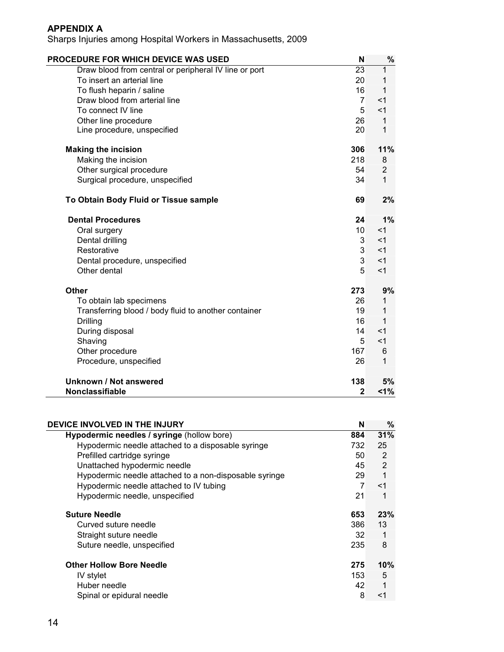| PROCEDURE FOR WHICH DEVICE WAS USED                   | N               | $\%$           |
|-------------------------------------------------------|-----------------|----------------|
| Draw blood from central or peripheral IV line or port | $\overline{23}$ | 1              |
| To insert an arterial line                            | 20              | 1              |
| To flush heparin / saline                             | 16              | 1              |
| Draw blood from arterial line                         | $\overline{7}$  | $<$ 1          |
| To connect IV line                                    | 5               | $<$ 1          |
| Other line procedure                                  | 26              | $\mathbf{1}$   |
| Line procedure, unspecified                           | 20              | 1              |
| <b>Making the incision</b>                            | 306             | 11%            |
| Making the incision                                   | 218             | 8              |
| Other surgical procedure                              | 54              | $\overline{2}$ |
| Surgical procedure, unspecified                       | 34              | 1              |
| To Obtain Body Fluid or Tissue sample                 | 69              | 2%             |
| <b>Dental Procedures</b>                              | 24              | 1%             |
| Oral surgery                                          | 10              | $<$ 1          |
| Dental drilling                                       | 3               | $<$ 1          |
| Restorative                                           | 3               | $<$ 1          |
| Dental procedure, unspecified                         | 3               | $<$ 1          |
| Other dental                                          | 5               | $<$ 1          |
| Other                                                 | 273             | 9%             |
| To obtain lab specimens                               | 26              | 1              |
| Transferring blood / body fluid to another container  | 19              | 1              |
| Drilling                                              | 16              | 1              |
| During disposal                                       | 14              | $<$ 1          |
| Shaving                                               | 5               | $<$ 1          |
| Other procedure                                       | 167             | 6              |
| Procedure, unspecified                                | 26              | 1              |
| Unknown / Not answered                                | 138             | 5%             |
| <b>Nonclassifiable</b>                                | $\mathbf{2}$    | $1\%$          |

| DEVICE INVOLVED IN THE INJURY                          | N              | %     |
|--------------------------------------------------------|----------------|-------|
| Hypodermic needles / syringe (hollow bore)             | 884            | 31%   |
| Hypodermic needle attached to a disposable syringe     | 732            | 25    |
| Prefilled cartridge syringe                            | 50             | 2     |
| Unattached hypodermic needle                           | 45             | 2     |
| Hypodermic needle attached to a non-disposable syringe | 29             | 1     |
| Hypodermic needle attached to IV tubing                | $\overline{7}$ | $<$ 1 |
| Hypodermic needle, unspecified                         | 21             | 1     |
| <b>Suture Needle</b>                                   | 653            | 23%   |
| Curved suture needle                                   | 386            | 13    |
| Straight suture needle                                 | 32             | 1     |
| Suture needle, unspecified                             | 235            | 8     |
| <b>Other Hollow Bore Needle</b>                        | 275            | 10%   |
| IV stylet                                              | 153            | 5     |
| Huber needle                                           | 42             | 1     |
| Spinal or epidural needle                              | 8              | $<$ 1 |
|                                                        |                |       |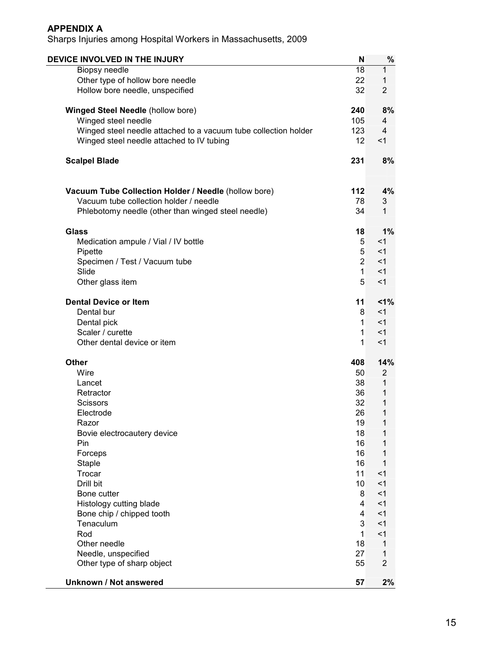| DEVICE INVOLVED IN THE INJURY                                   | N              | $\%$           |
|-----------------------------------------------------------------|----------------|----------------|
| Biopsy needle                                                   | 18             | 1              |
| Other type of hollow bore needle                                | 22             | 1              |
| Hollow bore needle, unspecified                                 | 32             | $\overline{2}$ |
| <b>Winged Steel Needle (hollow bore)</b>                        | 240            | 8%             |
| Winged steel needle                                             | 105            | 4              |
| Winged steel needle attached to a vacuum tube collection holder | 123            | 4              |
| Winged steel needle attached to IV tubing                       | 12             | $<$ 1          |
| <b>Scalpel Blade</b>                                            | 231            | 8%             |
| Vacuum Tube Collection Holder / Needle (hollow bore)            | 112            | 4%             |
| Vacuum tube collection holder / needle                          | 78             | 3              |
| Phlebotomy needle (other than winged steel needle)              | 34             | 1              |
| Glass                                                           | 18             | 1%             |
| Medication ampule / Vial / IV bottle                            | 5              | $<$ 1          |
| Pipette                                                         | 5              | <1             |
| Specimen / Test / Vacuum tube                                   | $\overline{2}$ | $<$ 1          |
| Slide                                                           | $\mathbf{1}$   | $<$ 1          |
| Other glass item                                                | 5              | <1             |
| <b>Dental Device or Item</b>                                    | 11             | 1%             |
| Dental bur                                                      | 8              | <1             |
| Dental pick                                                     | $\mathbf{1}$   | <1             |
| Scaler / curette                                                | $\mathbf{1}$   | $<$ 1          |
| Other dental device or item                                     | $\mathbf{1}$   | $<$ 1          |
| Other                                                           | 408            | 14%            |
| Wire                                                            | 50             | $\overline{2}$ |
| Lancet                                                          | 38             | 1              |
| Retractor                                                       | 36             | 1              |
| Scissors                                                        | 32             | 1              |
| Electrode                                                       | 26             | 1              |
| Razor                                                           | 19             | 1              |
| Bovie electrocautery device                                     | 18             | 1              |
| Pin                                                             | 16             | 1              |
| Forceps                                                         | 16             | 1              |
| <b>Staple</b><br>Trocar                                         | 16<br>11       | 1<br>$<$ 1     |
| Drill bit                                                       |                | $<$ 1          |
| Bone cutter                                                     | 10<br>8        | $<$ 1          |
| Histology cutting blade                                         | 4              | $<$ 1          |
| Bone chip / chipped tooth                                       | $\overline{4}$ | $<$ 1          |
| Tenaculum                                                       | 3              | $<$ 1          |
| Rod                                                             | $\mathbf{1}$   | $<$ 1          |
| Other needle                                                    | 18             | 1              |
| Needle, unspecified                                             | 27             | 1              |
| Other type of sharp object                                      | 55             | $\overline{2}$ |
| <b>Unknown / Not answered</b>                                   | 57             | 2%             |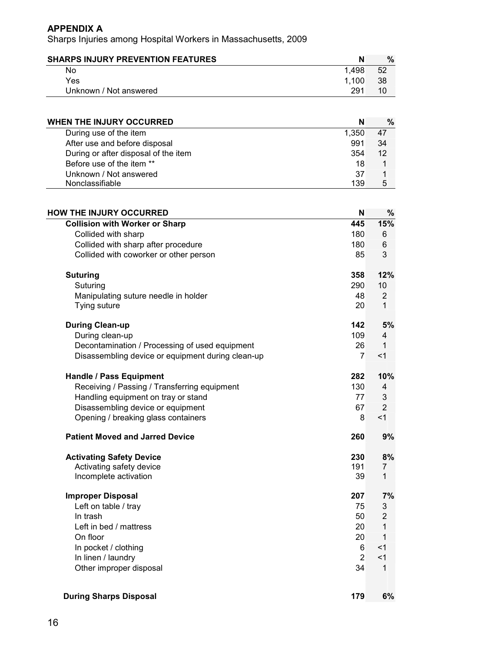| <b>SHARPS INJURY PREVENTION FEATURES</b> | N     | $\%$ |
|------------------------------------------|-------|------|
| No                                       | 1.498 | 52   |
| Yes                                      | 1.100 | 38   |
| Unknown / Not answered                   | 291   |      |

| <b>WHEN THE INJURY OCCURRED</b>      | N     | $\%$ |
|--------------------------------------|-------|------|
| During use of the item               | 1.350 | 47   |
| After use and before disposal        | 991   | 34   |
| During or after disposal of the item | 354   | 12   |
| Before use of the item **            | 18    |      |
| Unknown / Not answered               | 37    |      |
| Nonclassifiable                      | 139   | 5    |

| <b>HOW THE INJURY OCCURRED</b>                    | N              | $\%$           |
|---------------------------------------------------|----------------|----------------|
| <b>Collision with Worker or Sharp</b>             | 445            | 15%            |
| Collided with sharp                               | 180            | 6              |
| Collided with sharp after procedure               | 180            | $\,6$          |
| Collided with coworker or other person            | 85             | 3              |
| <b>Suturing</b>                                   | 358            | 12%            |
| Suturing                                          | 290            | 10             |
| Manipulating suture needle in holder              | 48             | $\overline{2}$ |
| Tying suture                                      | 20             | $\mathbf{1}$   |
| <b>During Clean-up</b>                            | 142            | 5%             |
| During clean-up                                   | 109            | 4              |
| Decontamination / Processing of used equipment    | 26             | 1              |
| Disassembling device or equipment during clean-up | $\overline{7}$ | 1              |
| <b>Handle / Pass Equipment</b>                    | 282            | 10%            |
| Receiving / Passing / Transferring equipment      | 130            | 4              |
| Handling equipment on tray or stand               | 77             | 3              |
| Disassembling device or equipment                 | 67             | $\overline{2}$ |
| Opening / breaking glass containers               | 8              | < 1            |
| <b>Patient Moved and Jarred Device</b>            | 260            | 9%             |
| <b>Activating Safety Device</b>                   | 230            | 8%             |
| Activating safety device                          | 191            | 7              |
| Incomplete activation                             | 39             | $\mathbf{1}$   |
| <b>Improper Disposal</b>                          | 207            | 7%             |
| Left on table / tray                              | 75             | 3              |
| In trash                                          | 50             | $\overline{2}$ |
| Left in bed / mattress                            | 20             | $\mathbf{1}$   |
| On floor                                          | 20             | 1              |
| In pocket / clothing                              | 6              | <1             |
| In linen / laundry                                | $\overline{2}$ | $<$ 1          |
| Other improper disposal                           | 34             | $\mathbf{1}$   |
| <b>During Sharps Disposal</b>                     | 179            | 6%             |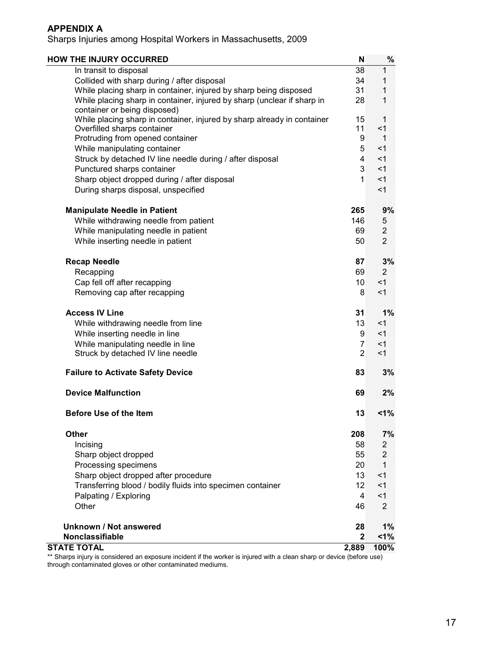Sharps Injuries among Hospital Workers in Massachusetts, 2009

| <b>HOW THE INJURY OCCURRED</b>                                                                          | N               | $\%$           |
|---------------------------------------------------------------------------------------------------------|-----------------|----------------|
| In transit to disposal                                                                                  | 38              | 1              |
| Collided with sharp during / after disposal                                                             | 34              | 1              |
| While placing sharp in container, injured by sharp being disposed                                       | 31              | 1              |
| While placing sharp in container, injured by sharp (unclear if sharp in<br>container or being disposed) | 28              | 1              |
| While placing sharp in container, injured by sharp already in container                                 | 15              | 1              |
| Overfilled sharps container                                                                             | 11              | $<$ 1          |
| Protruding from opened container                                                                        | 9               | 1              |
| While manipulating container                                                                            | 5               | $<$ 1          |
| Struck by detached IV line needle during / after disposal                                               | 4               | $<$ 1          |
| Punctured sharps container                                                                              | 3               | $<$ 1          |
| Sharp object dropped during / after disposal                                                            | 1               | $<$ 1          |
| During sharps disposal, unspecified                                                                     |                 | $<$ 1          |
| <b>Manipulate Needle in Patient</b>                                                                     | 265             | 9%             |
| While withdrawing needle from patient                                                                   | 146             | 5              |
| While manipulating needle in patient                                                                    | 69              | $\overline{2}$ |
| While inserting needle in patient                                                                       | 50              | $\overline{2}$ |
| <b>Recap Needle</b>                                                                                     | 87              | 3%             |
| Recapping                                                                                               | 69              | $\overline{2}$ |
| Cap fell off after recapping                                                                            | 10 <sup>°</sup> | <1             |
| Removing cap after recapping                                                                            | 8               | $<$ 1          |
| <b>Access IV Line</b>                                                                                   | 31              | 1%             |
| While withdrawing needle from line                                                                      | 13              | $<$ 1          |
| While inserting needle in line                                                                          | 9               | $<$ 1          |
| While manipulating needle in line                                                                       | $\overline{7}$  | $<$ 1          |
| Struck by detached IV line needle                                                                       | $\overline{2}$  | $<$ 1          |
| <b>Failure to Activate Safety Device</b>                                                                | 83              | 3%             |
| <b>Device Malfunction</b>                                                                               | 69              | 2%             |
| <b>Before Use of the Item</b>                                                                           | 13              | 1%             |
| <b>Other</b>                                                                                            | 208             | 7%             |
| Incising                                                                                                | 58              | 2              |
| Sharp object dropped                                                                                    | 55              | $\overline{2}$ |
| Processing specimens                                                                                    | 20              | 1              |
| Sharp object dropped after procedure                                                                    | 13              | $<$ 1          |
| Transferring blood / bodily fluids into specimen container                                              | 12              | $<$ 1          |
| Palpating / Exploring                                                                                   | $\overline{4}$  | $<$ 1          |
| Other                                                                                                   | 46              | $\overline{2}$ |
| Unknown / Not answered                                                                                  | 28              | 1%             |
| Nonclassifiable                                                                                         | $\overline{2}$  | $1\%$          |
| <b>STATE TOTAL</b>                                                                                      | 2,889           | 100%           |

\*\* Sharps injury is considered an exposure incident if the worker is injured with a clean sharp or device (before use) through contaminated gloves or other contaminated mediums.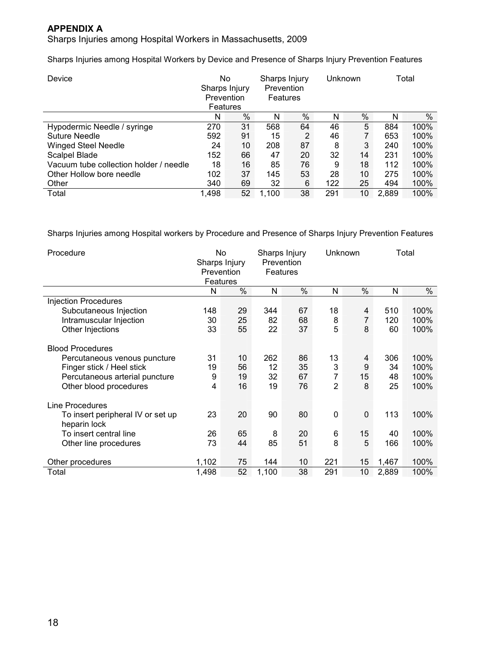Sharps Injuries among Hospital Workers in Massachusetts, 2009

Sharps Injuries among Hospital Workers by Device and Presence of Sharps Injury Prevention Features

| Device                                 | No<br>Sharps Injury<br>Prevention<br>Features |    | Sharps Injury<br><b>Prevention</b><br><b>Features</b> |    | Unknown |    |       | Total |  |
|----------------------------------------|-----------------------------------------------|----|-------------------------------------------------------|----|---------|----|-------|-------|--|
|                                        | N                                             | %  | N                                                     | %  | N       | %  | N     | $\%$  |  |
| Hypodermic Needle / syringe            | 270                                           | 31 | 568                                                   | 64 | 46      | 5  | 884   | 100%  |  |
| Suture Needle                          | 592                                           | 91 | 15                                                    | 2  | 46      |    | 653   | 100%  |  |
| <b>Winged Steel Needle</b>             | 24                                            | 10 | 208                                                   | 87 | 8       | 3  | 240   | 100%  |  |
| Scalpel Blade                          | 152                                           | 66 | 47                                                    | 20 | 32      | 14 | 231   | 100%  |  |
| Vacuum tube collection holder / needle | 18                                            | 16 | 85                                                    | 76 | 9       | 18 | 112   | 100%  |  |
| Other Hollow bore needle               | 102                                           | 37 | 145                                                   | 53 | 28      | 10 | 275   | 100%  |  |
| Other                                  | 340                                           | 69 | 32                                                    | 6  | 122     | 25 | 494   | 100%  |  |
| Total                                  | 1,498                                         | 52 | 1,100                                                 | 38 | 291     | 10 | 2,889 | 100%  |  |

Sharps Injuries among Hospital workers by Procedure and Presence of Sharps Injury Prevention Features

| Procedure                                                                                                                                        |                    | Sharps Injury<br>Unknown<br>No<br>Prevention<br>Sharps Injury<br>Prevention<br>Features<br>Features |                       |                      |                                |                   |                       |                              |  |  | Total |  |
|--------------------------------------------------------------------------------------------------------------------------------------------------|--------------------|-----------------------------------------------------------------------------------------------------|-----------------------|----------------------|--------------------------------|-------------------|-----------------------|------------------------------|--|--|-------|--|
|                                                                                                                                                  | N                  | $\%$                                                                                                | N                     | %                    | Ν                              | $\%$              | N                     | %                            |  |  |       |  |
| <b>Injection Procedures</b>                                                                                                                      |                    |                                                                                                     |                       |                      |                                |                   |                       |                              |  |  |       |  |
| Subcutaneous Injection                                                                                                                           | 148                | 29                                                                                                  | 344                   | 67                   | 18                             | 4                 | 510                   | 100%                         |  |  |       |  |
| Intramuscular Injection                                                                                                                          | 30                 | 25                                                                                                  | 82                    | 68                   | 8                              | 7                 | 120                   | 100%                         |  |  |       |  |
| Other Injections                                                                                                                                 | 33                 | 55                                                                                                  | 22                    | 37                   | 5                              | 8                 | 60                    | 100%                         |  |  |       |  |
| <b>Blood Procedures</b><br>Percutaneous venous puncture<br>Finger stick / Heel stick<br>Percutaneous arterial puncture<br>Other blood procedures | 31<br>19<br>9<br>4 | 10<br>56<br>19<br>16                                                                                | 262<br>12<br>32<br>19 | 86<br>35<br>67<br>76 | 13<br>3<br>7<br>$\overline{2}$ | 4<br>9<br>15<br>8 | 306<br>34<br>48<br>25 | 100%<br>100%<br>100%<br>100% |  |  |       |  |
| Line Procedures                                                                                                                                  |                    |                                                                                                     |                       |                      |                                |                   |                       |                              |  |  |       |  |
| To insert peripheral IV or set up<br>heparin lock                                                                                                | 23                 | 20                                                                                                  | 90                    | 80                   | $\mathbf{0}$                   | $\mathbf 0$       | 113                   | 100%                         |  |  |       |  |
| To insert central line                                                                                                                           | 26                 | 65                                                                                                  | 8                     | 20                   | 6                              | 15                | 40                    | 100%                         |  |  |       |  |
| Other line procedures                                                                                                                            | 73                 | 44                                                                                                  | 85                    | 51                   | 8                              | 5                 | 166                   | 100%                         |  |  |       |  |
| Other procedures                                                                                                                                 | 1,102              | 75                                                                                                  | 144                   | 10                   | 221                            | 15                | 1,467                 | 100%                         |  |  |       |  |
| Total                                                                                                                                            | 1,498              | 52                                                                                                  | 1,100                 | 38                   | 291                            | 10                | 2,889                 | 100%                         |  |  |       |  |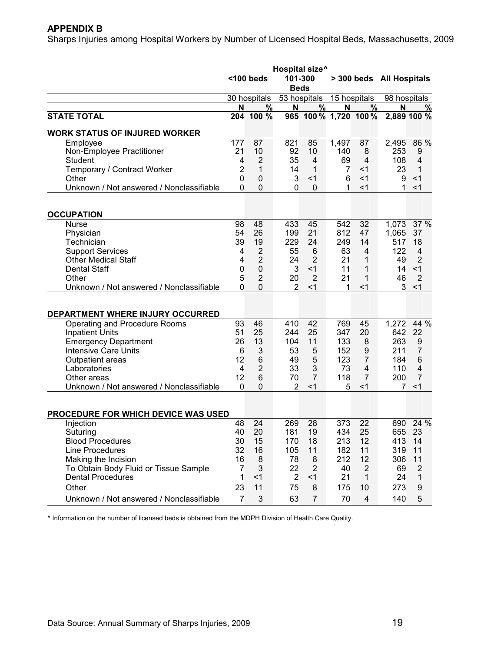#### **APPENDIX B**

Sharps Injuries among Hospital Workers by Number of Licensed Hospital Beds, Massachusetts, 2009

|                                                         |                | Hospital size <sup>^</sup><br>$100$ beds<br>101-300<br><b>Beds</b> |                |                     |                | > 300 beds All Hospitals |              |                     |
|---------------------------------------------------------|----------------|--------------------------------------------------------------------|----------------|---------------------|----------------|--------------------------|--------------|---------------------|
|                                                         |                | 30 hospitals                                                       |                | 53 hospitals        |                | 15 hospitals             | 98 hospitals |                     |
|                                                         | N              | %                                                                  | N              | $\%$                | N              | %                        | N            | %                   |
| <b>STATE TOTAL</b>                                      | 204            | 100 %                                                              |                |                     |                | 965 100 % 1,720 100 %    |              | 2,889 100 %         |
| <b>WORK STATUS OF INJURED WORKER</b>                    |                |                                                                    |                |                     |                |                          |              |                     |
| Employee                                                | 177            | 87                                                                 | 821            | 85                  | 1,497          | 87                       | 2,495        | 86 %                |
| Non-Employee Practitioner                               | 21             | 10                                                                 | 92             | 10                  | 140            | 8                        | 253          | 9                   |
| Student                                                 | 4              | $\overline{2}$                                                     | 35             | 4                   | 69             | $\overline{4}$           | 108          | $\overline{4}$      |
| Temporary / Contract Worker                             | $\overline{c}$ | 1                                                                  | 14             | 1                   | $\overline{7}$ | $<$ 1                    | 23           | 1                   |
| Other                                                   | 0              | $\mathbf 0$                                                        | 3              | $<$ 1               | 6              | $<$ 1                    | 9            | $<$ 1               |
| Unknown / Not answered / Nonclassifiable                | 0              | $\mathbf 0$                                                        | $\mathbf{0}$   | 0                   | 1              | $<$ 1                    | 1            | $<$ 1               |
| <b>OCCUPATION</b>                                       |                |                                                                    |                |                     |                |                          |              |                     |
| <b>Nurse</b>                                            | 98             | 48                                                                 | 433            | 45                  | 542            | 32                       | 1,073        | 37 %                |
| Physician                                               | 54             | 26                                                                 | 199            | 21                  | 812            | 47                       | 1,065        | 37                  |
| Technician                                              | 39             | 19                                                                 | 229            | 24                  | 249            | 14                       | 517          | 18                  |
| <b>Support Services</b>                                 | 4              | $\overline{2}$                                                     | 55             | 6                   | 63             | 4                        | 122          | $\overline{4}$      |
| <b>Other Medical Staff</b>                              | 4              | $\overline{2}$                                                     | 24             | $\overline{2}$      | 21             | 1                        | 49           | $\overline{2}$      |
| <b>Dental Staff</b>                                     | 0              | $\mathbf 0$                                                        | 3              | < 1                 | 11             | 1                        | 14           | <1                  |
| Other                                                   | 5              | $\overline{2}$                                                     | 20             | $\overline{2}$      | 21             | 1                        | 46           | $\overline{2}$      |
| Unknown / Not answered / Nonclassifiable                | 0              | $\mathbf 0$                                                        | $\overline{2}$ | $<$ 1               | 1              | $<$ 1                    | 3            | $<$ 1               |
|                                                         |                |                                                                    |                |                     |                |                          |              |                     |
| DEPARTMENT WHERE INJURY OCCURRED                        |                |                                                                    |                | 42                  |                |                          |              |                     |
| Operating and Procedure Rooms                           | 93             | 46                                                                 | 410            |                     | 769            | 45                       | 1,272        | 44 %<br>22          |
| <b>Inpatient Units</b>                                  | 51<br>26       | 25<br>13                                                           | 244            | 25<br>11            | 347<br>133     | 20                       | 642<br>263   |                     |
| <b>Emergency Department</b>                             |                |                                                                    | 104<br>53      |                     |                | 8                        |              | 9                   |
| <b>Intensive Care Units</b>                             | 6              | 3                                                                  |                | 5                   | 152            | 9                        | 211          | 7                   |
| Outpatient areas                                        | 12             | 6                                                                  | 49             | 5                   | 123            | $\overline{7}$           | 184          | 6                   |
| Laboratories                                            | 4<br>12        | $\overline{2}$<br>6                                                | 33<br>70       | 3<br>$\overline{7}$ | 73             | 4<br>$\overline{7}$      | 110          | 4<br>$\overline{7}$ |
| Other areas<br>Unknown / Not answered / Nonclassifiable | $\overline{0}$ | $\mathbf 0$                                                        | 2              | $<$ 1               | 118<br>5       | <1                       | 200<br>7     | $<$ 1               |
|                                                         |                |                                                                    |                |                     |                |                          |              |                     |
| PROCEDURE FOR WHICH DEVICE WAS USED                     |                |                                                                    |                |                     |                |                          |              |                     |
| Injection                                               | 48             | 24                                                                 | 269            | 28                  | 373            | 22                       |              | 690 24 %            |
| Suturing                                                | 40             | 20                                                                 | 181            | 19                  | 434            | 25                       | 655          | 23                  |
| <b>Blood Procedures</b>                                 | 30             | 15                                                                 | 170            | 18                  | 213            | 12                       | 413 14       |                     |
| Line Procedures                                         | 32             | 16                                                                 | 105            | 11                  | 182            | 11                       | 319          | 11                  |
| Making the Incision                                     | 16             | 8                                                                  | 78             | 8                   | 212            | 12                       | 306          | 11                  |
| To Obtain Body Fluid or Tissue Sample                   | $\overline{7}$ | 3                                                                  | 22             | $\overline{2}$      | 40             | $\overline{2}$           | 69           | 2                   |
| <b>Dental Procedures</b>                                | 1              | $<$ 1                                                              | $\overline{2}$ | < 1                 | 21             | $\mathbf{1}$             | 24           | 1                   |
| Other                                                   | 23             | 11                                                                 | 75             | 8                   | 175            | 10                       | 273          | 9                   |
| Unknown / Not answered / Nonclassifiable                | $\overline{7}$ | 3                                                                  | 63             | $\overline{7}$      | 70             | $\overline{4}$           | 140          | 5                   |

^ Information on the number of licensed beds is obtained from the MDPH Division of Health Care Quality.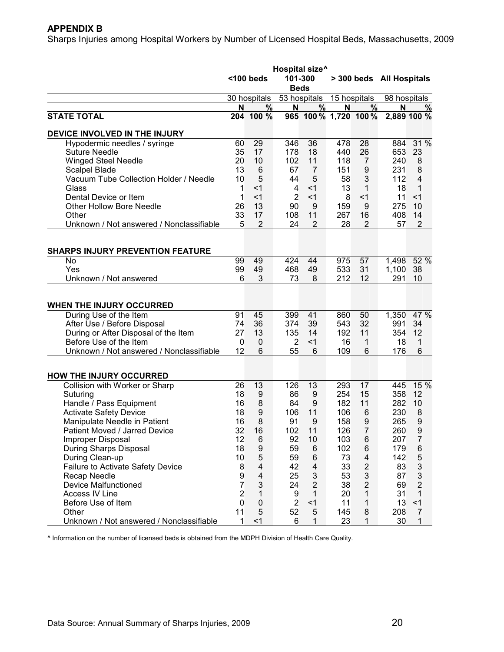### **APPENDIX B**

Sharps Injuries among Hospital Workers by Number of Licensed Hospital Beds, Massachusetts, 2009

|                                          | Hospital size <sup>^</sup> |                  |                |                           |     |                         |                          |                           |  |              |
|------------------------------------------|----------------------------|------------------|----------------|---------------------------|-----|-------------------------|--------------------------|---------------------------|--|--------------|
|                                          |                            | $100$ beds       | 101-300        |                           |     |                         | > 300 beds All Hospitals |                           |  |              |
|                                          |                            | 30 hospitals     | <b>Beds</b>    | 53 hospitals              |     |                         |                          | 15 hospitals              |  | 98 hospitals |
|                                          | N                          | %                | N              | $\%$                      | N   | $\%$                    | N                        | %                         |  |              |
| <b>STATE TOTAL</b>                       |                            | 204 100 %        |                | 965 100 % 1,720 100 %     |     |                         |                          | 2,889 100 %               |  |              |
| DEVICE INVOLVED IN THE INJURY            |                            |                  |                |                           |     |                         |                          |                           |  |              |
| Hypodermic needles / syringe             | 60                         | 29               | 346            | 36                        | 478 | 28                      | 884                      | 31 %                      |  |              |
| <b>Suture Needle</b>                     | 35                         | 17               | 178            | 18                        | 440 | 26                      | 653                      | 23                        |  |              |
| <b>Winged Steel Needle</b>               | 20                         | 10               | 102            | 11                        | 118 | 7                       | 240                      | 8                         |  |              |
| <b>Scalpel Blade</b>                     | 13                         | 6                | 67             | $\overline{7}$            | 151 | $\boldsymbol{9}$        | 231                      | 8                         |  |              |
| Vacuum Tube Collection Holder / Needle   | 10                         | 5                | 44             | 5                         | 58  | 3                       | 112                      | 4                         |  |              |
| Glass                                    | 1                          | $<$ 1            | 4              | $<$ 1                     | 13  | 1                       | 18                       | 1                         |  |              |
| Dental Device or Item                    | 1                          | $<$ 1            | $\overline{2}$ | $<$ 1                     | 8   | $<$ 1                   | 11                       | $<$ 1                     |  |              |
| <b>Other Hollow Bore Needle</b>          | 26                         | 13               | 90             | 9                         | 159 | 9                       | 275                      | 10                        |  |              |
| Other                                    | 33                         | 17               | 108            | 11                        | 267 | 16                      | 408                      | 14                        |  |              |
| Unknown / Not answered / Nonclassifiable | 5                          | $\overline{2}$   | 24             | $\overline{2}$            | 28  | $\overline{2}$          | 57                       | $\overline{2}$            |  |              |
| <b>SHARPS INJURY PREVENTION FEATURE</b>  |                            |                  |                |                           |     |                         |                          |                           |  |              |
| No                                       | 99                         | 49               | 424            | 44                        | 975 | 57                      | 1,498                    | 52 %                      |  |              |
| Yes                                      | 99                         | 49               | 468            | 49                        | 533 | 31                      | 1,100                    | 38                        |  |              |
| Unknown / Not answered                   | 6                          | 3                | 73             | 8                         | 212 | 12                      | 291                      | 10                        |  |              |
|                                          |                            |                  |                |                           |     |                         |                          |                           |  |              |
|                                          |                            |                  |                |                           |     |                         |                          |                           |  |              |
| <b>WHEN THE INJURY OCCURRED</b>          |                            |                  |                |                           |     |                         |                          |                           |  |              |
| During Use of the Item                   | 91                         | 45               | 399            | 41                        | 860 | 50                      | 1,350                    | 47 %                      |  |              |
| After Use / Before Disposal              | 74                         | 36               | 374            | 39                        | 543 | 32                      | 991                      | 34                        |  |              |
| During or After Disposal of the Item     | 27                         | 13               | 135            | 14                        | 192 | 11                      | 354                      | 12                        |  |              |
| Before Use of the Item                   | 0                          | $\mathbf 0$      | $\overline{2}$ | $<$ 1                     | 16  | 1                       | 18                       | 1                         |  |              |
| Unknown / Not answered / Nonclassifiable | 12                         | 6                | 55             | 6                         | 109 | 6                       | 176                      | 6                         |  |              |
|                                          |                            |                  |                |                           |     |                         |                          |                           |  |              |
| <b>HOW THE INJURY OCCURRED</b>           |                            |                  |                |                           |     |                         |                          |                           |  |              |
| Collision with Worker or Sharp           | 26                         | 13               | 126            | 13                        | 293 | 17                      | 445                      | 15 %                      |  |              |
| Suturing                                 | 18                         | 9                | 86             | 9                         | 254 | 15                      | 358                      | 12                        |  |              |
| Handle / Pass Equipment                  | 16                         | 8                | 84             | 9                         | 182 | 11                      | 282                      | 10                        |  |              |
| <b>Activate Safety Device</b>            | 18                         | 9                | 106            | 11                        | 106 | 6                       | 230                      | 8                         |  |              |
| Manipulate Needle in Patient             | 16                         | 8                | 91             | 9                         | 158 | 9                       | 265                      | 9                         |  |              |
| Patient Moved / Jarred Device            | 32                         | 16               | 102            | 11                        | 126 | $\overline{7}$          | 260                      | q                         |  |              |
| <b>Improper Disposal</b>                 | 12                         | 6                | 92             | 10                        | 103 | $\,6$                   | 207                      | $\overline{7}$            |  |              |
| During Sharps Disposal                   | 18                         | $\boldsymbol{9}$ | 59             | 6                         | 102 | 6                       | 179                      | 6                         |  |              |
| During Clean-up                          | 10                         | 5                | 59             | $\,6$                     | 73  | $\overline{\mathbf{4}}$ | 142                      | $\mathbf 5$               |  |              |
| Failure to Activate Safety Device        | 8                          | $\overline{4}$   | 42             | $\overline{\mathbf{4}}$   | 33  | $\mathbf 2$             | 83                       | $\ensuremath{\mathsf{3}}$ |  |              |
| Recap Needle                             | 9                          | $\overline{4}$   | 25             | $\ensuremath{\mathsf{3}}$ | 53  | 3                       | 87                       | 3                         |  |              |
| <b>Device Malfunctioned</b>              | $\overline{7}$             | $\mathfrak{B}$   | 24             | $\sqrt{2}$                | 38  | $\overline{c}$          | 69                       | $\overline{2}$            |  |              |
| <b>Access IV Line</b>                    | $\overline{2}$             | 1                | 9              | 1                         | 20  | 1                       | 31                       | 1                         |  |              |
| Before Use of Item                       | $\mathbf 0$                | $\mathbf 0$      | $\overline{2}$ | < 1                       | 11  | 1                       | 13                       | < 1                       |  |              |
| Other                                    | 11                         | 5                | 52             | 5                         | 145 | 8                       | 208                      | $\overline{7}$            |  |              |
| Unknown / Not answered / Nonclassifiable | 1                          | $<$ 1            | 6              | 1                         | 23  | 1                       | 30                       | 1                         |  |              |

^ Information on the number of licensed beds is obtained from the MDPH Division of Health Care Quality.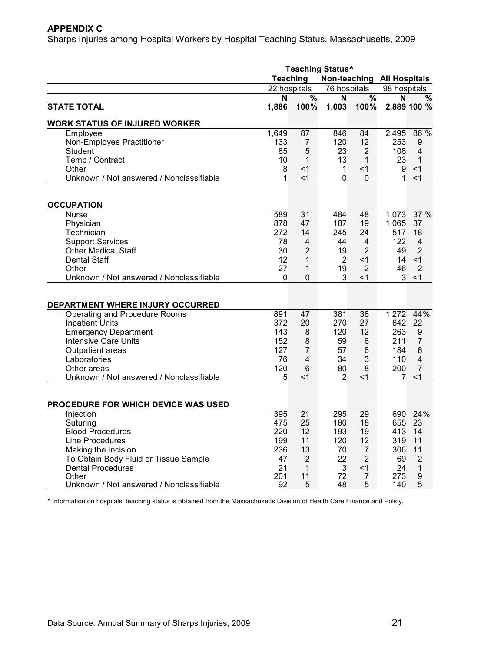#### **APPENDIX C**

Sharps Injuries among Hospital Workers by Hospital Teaching Status, Massachusetts, 2009

|                                          | <b>Teaching Status^</b> |                |                            |                |                |                |  |  |  |
|------------------------------------------|-------------------------|----------------|----------------------------|----------------|----------------|----------------|--|--|--|
|                                          | <b>Teaching</b>         |                | Non-teaching All Hospitals |                |                |                |  |  |  |
|                                          | 22 hospitals            |                | 76 hospitals               |                | 98 hospitals   |                |  |  |  |
|                                          | N                       | $\frac{9}{6}$  | N                          | $\frac{0}{6}$  | N              | %              |  |  |  |
| <b>STATE TOTAL</b>                       | 1,886                   | 100%           | 1,003                      | 100%           |                | 2,889 100 %    |  |  |  |
| <b>WORK STATUS OF INJURED WORKER</b>     |                         |                |                            |                |                |                |  |  |  |
| Employee                                 | 1,649                   | 87             | 846                        | 84             | 2,495          | 86 %           |  |  |  |
| Non-Employee Practitioner                | 133                     | $\overline{7}$ | 120                        | 12             | 253            | 9              |  |  |  |
| Student                                  | 85                      | 5              | 23                         | $\overline{2}$ | 108            | 4              |  |  |  |
| Temp / Contract                          | 10                      | 1              | 13                         | $\mathbf{1}$   | 23             | 1              |  |  |  |
| Other                                    | 8                       | $<$ 1          | $\mathbf{1}$               | $<$ 1          | 9              | $<$ 1          |  |  |  |
| Unknown / Not answered / Nonclassifiable | 1                       | $<$ 1          | 0                          | $\mathbf{0}$   | 1              | $<$ 1          |  |  |  |
| <b>OCCUPATION</b>                        |                         |                |                            |                |                |                |  |  |  |
| <b>Nurse</b>                             | 589                     | 31             | 484                        | 48             | 1,073          | 37%            |  |  |  |
| Physician                                | 878                     | 47             | 187                        | 19             | 1,065          | 37             |  |  |  |
| Technician                               | 272                     | 14             | 245                        | 24             | 517            | 18             |  |  |  |
| <b>Support Services</b>                  | 78                      | 4              | 44                         | 4              | 122            | $\overline{4}$ |  |  |  |
| <b>Other Medical Staff</b>               | 30                      | $\overline{2}$ | 19                         | $\overline{2}$ | 49             | $\overline{2}$ |  |  |  |
| <b>Dental Staff</b>                      | 12                      | 1              | 2                          | $<$ 1          | 14             | $<$ 1          |  |  |  |
| Other                                    | 27                      | 1              | 19                         | $\overline{2}$ | 46             | $\overline{2}$ |  |  |  |
| Unknown / Not answered / Nonclassifiable | $\Omega$                | $\mathbf 0$    | 3                          | $<$ 1          | 3              | $<$ 1          |  |  |  |
|                                          |                         |                |                            |                |                |                |  |  |  |
| DEPARTMENT WHERE INJURY OCCURRED         |                         |                |                            |                |                |                |  |  |  |
| Operating and Procedure Rooms            | 891                     | 47             | 381                        | 38             | 1,272          | 44%            |  |  |  |
| <b>Inpatient Units</b>                   | 372                     | 20             | 270                        | 27             | 642            | 22             |  |  |  |
| <b>Emergency Department</b>              | 143                     | 8              | 120                        | 12             | 263            | 9              |  |  |  |
| <b>Intensive Care Units</b>              | 152                     | 8              | 59                         | 6              | 211            | 7              |  |  |  |
| Outpatient areas                         | 127                     | $\overline{7}$ | 57                         | 6              | 184            | 6              |  |  |  |
| Laboratories                             | 76                      | 4              | 34                         | 3              | 110            | 4              |  |  |  |
| Other areas                              | 120                     | $\,6$          | 80                         | 8              | 200            | $\overline{7}$ |  |  |  |
| Unknown / Not answered / Nonclassifiable | 5                       | $<$ 1          | 2                          | $<$ 1          | $\overline{7}$ | <1             |  |  |  |
|                                          |                         |                |                            |                |                |                |  |  |  |
| PROCEDURE FOR WHICH DEVICE WAS USED      |                         |                |                            |                |                |                |  |  |  |
| Injection                                | 395                     | 21             | 295                        | 29             | 690            | 24%            |  |  |  |
| Suturing                                 | 475                     | 25             | 180                        | 18             | 655            | 23             |  |  |  |
| <b>Blood Procedures</b>                  | 220                     | 12             | 193                        | 19             | 413            | 14             |  |  |  |
| Line Procedures                          | 199                     | 11             | 120                        | 12             | 319            | 11             |  |  |  |
| Making the Incision                      | 236                     | 13             | 70                         | $\overline{7}$ | 306            | 11             |  |  |  |
| To Obtain Body Fluid or Tissue Sample    | 47                      | 2              | 22                         | $\overline{2}$ | 69             | 2              |  |  |  |
| <b>Dental Procedures</b>                 | 21                      | 1              | 3                          | $<$ 1          | 24             | $\mathbf{1}$   |  |  |  |
| Other                                    | 201                     | 11             | 72                         | $\overline{7}$ | 273            | 9              |  |  |  |
| Unknown / Not answered / Nonclassifiable | 92                      | 5              | 48                         | 5              | 140            | 5              |  |  |  |

^ Information on hospitals' teaching status is obtained from the Massachusetts Division of Health Care Finance and Policy.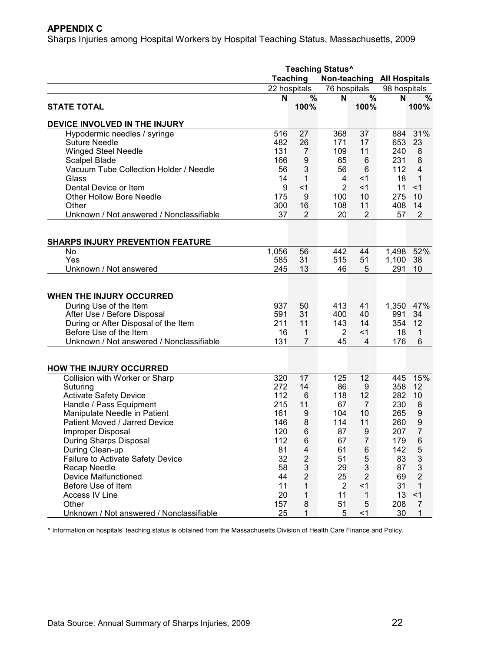#### **APPENDIX C**

Sharps Injuries among Hospital Workers by Hospital Teaching Status, Massachusetts, 2009

|                                          | <b>Teaching Status^</b> |                            |                |                |              |                |  |
|------------------------------------------|-------------------------|----------------------------|----------------|----------------|--------------|----------------|--|
|                                          | Teaching                | Non-teaching All Hospitals |                |                |              |                |  |
|                                          | 22 hospitals            |                            | 76 hospitals   |                | 98 hospitals |                |  |
|                                          | N                       | $\%$                       | N              | %              | N            | $\frac{0}{0}$  |  |
| <b>STATE TOTAL</b>                       |                         | 100%                       |                | 100%           |              | 100%           |  |
| DEVICE INVOLVED IN THE INJURY            |                         |                            |                |                |              |                |  |
| Hypodermic needles / syringe             | 516                     | 27                         | 368            | 37             | 884          | 31%            |  |
| <b>Suture Needle</b>                     | 482                     | 26                         | 171            | 17             | 653          | 23             |  |
| <b>Winged Steel Needle</b>               | 131                     | 7                          | 109            | 11             | 240          | 8              |  |
| Scalpel Blade                            | 166                     | 9                          | 65             | 6              | 231          | 8              |  |
| Vacuum Tube Collection Holder / Needle   | 56                      | 3                          | 56             | $\,6$          | 112          | $\overline{4}$ |  |
| Glass                                    | 14                      | $\mathbf{1}$               | 4              | $<$ 1          | 18           | 1              |  |
| Dental Device or Item                    | 9                       | $<$ 1                      | $\overline{2}$ | <1             | 11           | $<$ 1          |  |
| <b>Other Hollow Bore Needle</b>          | 175                     | 9                          | 100            | 10             | 275          | 10             |  |
| Other                                    | 300                     | 16                         | 108            | 11             | 408          | 14             |  |
| Unknown / Not answered / Nonclassifiable | 37                      | 2                          | 20             | $\overline{2}$ | 57           | 2              |  |
|                                          |                         |                            |                |                |              |                |  |
| <b>SHARPS INJURY PREVENTION FEATURE</b>  |                         |                            |                |                |              |                |  |
| No                                       | 1,056                   | 56                         | 442            | 44             | 1,498        | 52%            |  |
| Yes                                      | 585                     | 31                         | 515            | 51             | 1,100        | 38             |  |
| Unknown / Not answered                   | 245                     | 13                         | 46             | 5              | 291          | 10             |  |
|                                          |                         |                            |                |                |              |                |  |
|                                          |                         |                            |                |                |              |                |  |
| WHEN THE INJURY OCCURRED                 |                         |                            |                |                |              |                |  |
| During Use of the Item                   | 937                     | 50                         | 413            | 41             | 1,350        | 47%            |  |
| After Use / Before Disposal              | 591                     | 31                         | 400            | 40             | 991          | 34             |  |
| During or After Disposal of the Item     | 211                     | 11                         | 143            | 14             | 354          | 12             |  |
| Before Use of the Item                   | 16                      | 1                          | 2              | $<$ 1          | 18           | 1              |  |
| Unknown / Not answered / Nonclassifiable | 131                     | $\overline{7}$             | 45             | $\overline{4}$ | 176          | 6              |  |
|                                          |                         |                            |                |                |              |                |  |
| <b>HOW THE INJURY OCCURRED</b>           |                         |                            |                |                |              |                |  |
| Collision with Worker or Sharp           | 320                     | 17                         | 125            | 12             | 445          | 15%            |  |
| Suturing                                 | 272                     | 14                         | 86             | 9              | 358          | 12             |  |
| <b>Activate Safety Device</b>            | 112                     | 6                          | 118            | 12             | 282          | 10             |  |
| Handle / Pass Equipment                  | 215                     | 11                         | 67             | $\overline{7}$ | 230          | 8              |  |
| Manipulate Needle in Patient             | 161                     | 9                          | 104            | 10             | 265          | 9              |  |
| Patient Moved / Jarred Device            | 146                     | 8                          | 114            | 11             | 260          | 9              |  |
| Improper Disposal                        | 120                     | 6                          | 87             | 9              | 207          | $\overline{7}$ |  |
| During Sharps Disposal                   | 112                     | 6                          | 67             | $\overline{7}$ | 179          | 6              |  |
| During Clean-up                          | 81                      | 4                          | 61             | 6              | 142          | $\mathbf 5$    |  |
| <b>Failure to Activate Safety Device</b> | 32                      | $\overline{2}$             | 51             | 5              | 83           | 3              |  |
| Recap Needle                             | 58                      | $\mathfrak{B}$             | 29             | 3              | 87           | 3              |  |
| <b>Device Malfunctioned</b>              | 44                      | $\overline{2}$             | 25             | $\overline{2}$ | 69           | $\overline{2}$ |  |
| Before Use of Item                       | 11                      | $\mathbf 1$                | $\overline{2}$ | < 1            | 31           | $\mathbf{1}$   |  |
| <b>Access IV Line</b>                    | 20                      | 1                          | 11             | $\mathbf{1}$   | 13           | <1             |  |
| Other                                    | 157                     | 8                          | 51             | 5              | 208          | $\overline{7}$ |  |
| Unknown / Not answered / Nonclassifiable | 25                      | 1                          | 5              | $<$ 1          | 30           | 1              |  |

^ Information on hospitals' teaching status is obtained from the Massachusetts Division of Health Care Finance and Policy.